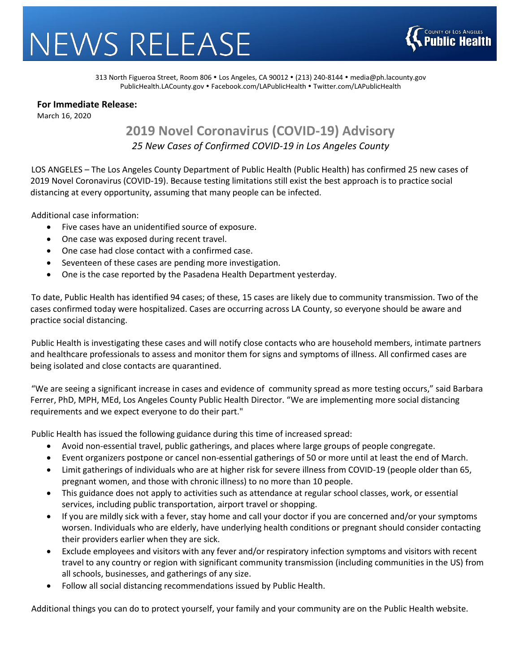## NEWS RELEASE



313 North Figueroa Street, Room 806 · Los Angeles, CA 90012 · (213) 240-8144 · [media@ph.lacounty.gov](mailto:media@ph.lacounty.gov) [PublicHealth.LACounty.gov](http://publichealth.lacounty.gov/) • [Facebook.com/LAPublicHealth](https://www.facebook.com/lapublichealth) • [Twitter.com/LAPublicHealth](https://twitter.com/LAPublicHealth)

## **For Immediate Release:**

March 16, 2020

## **2019 Novel Coronavirus (COVID-19) Advisory** *25 New Cases of Confirmed COVID-19 in Los Angeles County*

LOS ANGELES – The Los Angeles County Department of Public Health (Public Health) has confirmed 25 new cases of 2019 Novel Coronavirus (COVID-19). Because testing limitations still exist the best approach is to practice social distancing at every opportunity, assuming that many people can be infected.

Additional case information:

- Five cases have an unidentified source of exposure.
- One case was exposed during recent travel.
- One case had close contact with a confirmed case.
- Seventeen of these cases are pending more investigation.
- One is the case reported by the Pasadena Health Department yesterday.

To date, Public Health has identified 94 cases; of these, 15 cases are likely due to community transmission. Two of the cases confirmed today were hospitalized. Cases are occurring across LA County, so everyone should be aware and practice social distancing.

Public Health is investigating these cases and will notify close contacts who are household members, intimate partners and healthcare professionals to assess and monitor them for signs and symptoms of illness. All confirmed cases are being isolated and close contacts are quarantined.

"We are seeing a significant increase in cases and evidence of community spread as more testing occurs," said Barbara Ferrer, PhD, MPH, MEd, Los Angeles County Public Health Director. "We are implementing more social distancing requirements and we expect everyone to do their part."

Public Health has issued the following guidance during this time of increased spread:

- Avoid non-essential travel, public gatherings, and places where large groups of people congregate.
- Event organizers postpone or cancel non-essential gatherings of 50 or more until at least the end of March.
- Limit gatherings of individuals who are at higher risk for severe illness from COVID-19 (people older than 65, pregnant women, and those with chronic illness) to no more than 10 people.
- This guidance does not apply to activities such as attendance at regular school classes, work, or essential services, including public transportation, airport travel or shopping.
- If you are mildly sick with a fever, stay home and call your doctor if you are concerned and/or your symptoms worsen. Individuals who are elderly, have underlying health conditions or pregnant should consider contacting their providers earlier when they are sick.
- Exclude employees and visitors with any fever and/or respiratory infection symptoms and visitors with recent travel to any country or region with significant community transmission (including communities in the US) from all schools, businesses, and gatherings of any size.
- Follow all social distancing recommendations issued by Public Health.

Additional things you can do to protect yourself, your family and your community are on the Public Health website.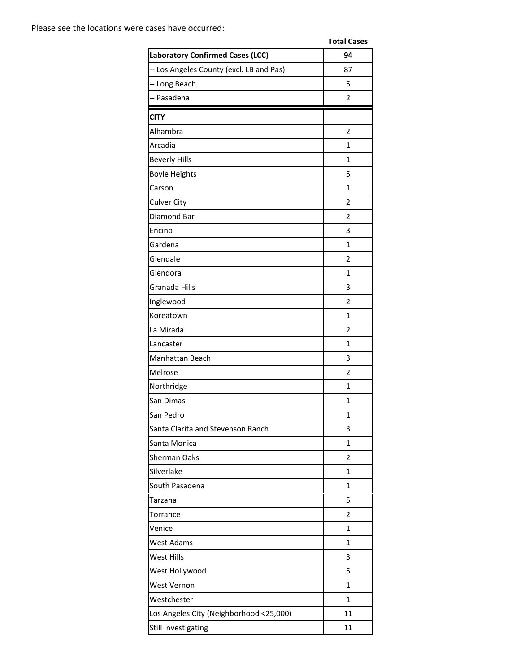|                                          | <b>Total Cases</b> |
|------------------------------------------|--------------------|
| <b>Laboratory Confirmed Cases (LCC)</b>  | 94                 |
| -- Los Angeles County (excl. LB and Pas) | 87                 |
| -- Long Beach                            | 5                  |
| -- Pasadena                              | $\overline{2}$     |
| <b>CITY</b>                              |                    |
| Alhambra                                 | $\overline{2}$     |
| Arcadia                                  | $\mathbf{1}$       |
| <b>Beverly Hills</b>                     | 1                  |
| <b>Boyle Heights</b>                     | 5                  |
| Carson                                   | $\mathbf{1}$       |
| <b>Culver City</b>                       | $\overline{2}$     |
| Diamond Bar                              | 2                  |
| Encino                                   | 3                  |
| Gardena                                  | 1                  |
| Glendale                                 | $\overline{2}$     |
| Glendora                                 | 1                  |
| Granada Hills                            | 3                  |
| Inglewood                                | $\overline{2}$     |
| Koreatown                                | 1                  |
| La Mirada                                | $\overline{2}$     |
| Lancaster                                | 1                  |
| Manhattan Beach                          | 3                  |
| Melrose                                  | $\overline{2}$     |
| Northridge                               | 1                  |
| San Dimas                                | 1                  |
| San Pedro                                | $\mathbf{1}$       |
| Santa Clarita and Stevenson Ranch        | 3                  |
| Santa Monica                             | 1                  |
| <b>Sherman Oaks</b>                      | 2                  |
| Silverlake                               | 1                  |
| South Pasadena                           | $\mathbf{1}$       |
| Tarzana                                  | 5                  |
| Torrance                                 | $\overline{2}$     |
| Venice                                   | 1                  |
| <b>West Adams</b>                        | 1                  |
| West Hills                               | 3                  |
| West Hollywood                           | 5                  |
| West Vernon                              | 1                  |
| Westchester                              | 1                  |
| Los Angeles City (Neighborhood <25,000)  | 11                 |
| Still Investigating                      | 11                 |